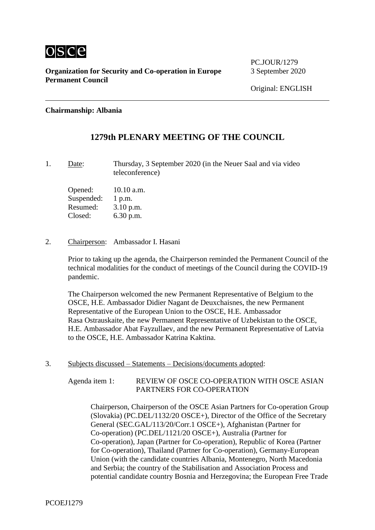

**Organization for Security and Co-operation in Europe** 3 September 2020 **Permanent Council**

PC.IOUR/1279

#### **Chairmanship: Albania**

## **1279th PLENARY MEETING OF THE COUNCIL**

1. Date: Thursday, 3 September 2020 (in the Neuer Saal and via video teleconference)

Opened: 10.10 a.m. Suspended: 1 p.m. Resumed: 3.10 p.m. Closed: 6.30 p.m.

2. Chairperson: Ambassador I. Hasani

Prior to taking up the agenda, the Chairperson reminded the Permanent Council of the technical modalities for the conduct of meetings of the Council during the COVID-19 pandemic.

The Chairperson welcomed the new Permanent Representative of Belgium to the OSCE, H.E. Ambassador Didier Nagant de Deuxchaisnes, the new Permanent Representative of the European Union to the OSCE, H.E. Ambassador Rasa Ostrauskaite, the new Permanent Representative of Uzbekistan to the OSCE, H.E. Ambassador Abat Fayzullaev, and the new Permanent Representative of Latvia to the OSCE, H.E. Ambassador Katrina Kaktina.

3. Subjects discussed – Statements – Decisions/documents adopted:

Agenda item 1: REVIEW OF OSCE CO-OPERATION WITH OSCE ASIAN PARTNERS FOR CO-OPERATION

Chairperson, Chairperson of the OSCE Asian Partners for Co-operation Group (Slovakia) (PC.DEL/1132/20 OSCE+), Director of the Office of the Secretary General (SEC.GAL/113/20/Corr.1 OSCE+), Afghanistan (Partner for Co-operation) (PC.DEL/1121/20 OSCE+), Australia (Partner for Co-operation), Japan (Partner for Co-operation), Republic of Korea (Partner for Co-operation), Thailand (Partner for Co-operation), Germany-European Union (with the candidate countries Albania, Montenegro, North Macedonia and Serbia; the country of the Stabilisation and Association Process and potential candidate country Bosnia and Herzegovina; the European Free Trade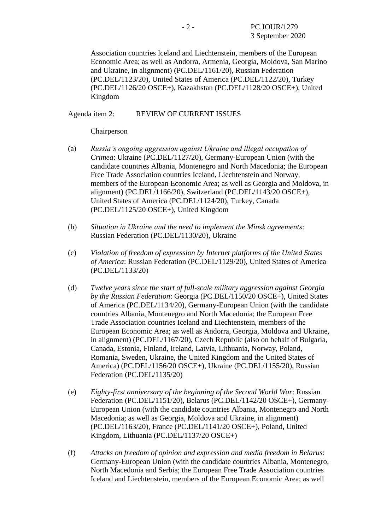Association countries Iceland and Liechtenstein, members of the European Economic Area; as well as Andorra, Armenia, Georgia, Moldova, San Marino and Ukraine, in alignment) (PC.DEL/1161/20), Russian Federation (PC.DEL/1123/20), United States of America (PC.DEL/1122/20), Turkey (PC.DEL/1126/20 OSCE+), Kazakhstan (PC.DEL/1128/20 OSCE+), United Kingdom

#### Agenda item 2: REVIEW OF CURRENT ISSUES

Chairperson

- (a) *Russia's ongoing aggression against Ukraine and illegal occupation of Crimea*: Ukraine (PC.DEL/1127/20), Germany-European Union (with the candidate countries Albania, Montenegro and North Macedonia; the European Free Trade Association countries Iceland, Liechtenstein and Norway, members of the European Economic Area; as well as Georgia and Moldova, in alignment) (PC.DEL/1166/20), Switzerland (PC.DEL/1143/20 OSCE+), United States of America (PC.DEL/1124/20), Turkey, Canada (PC.DEL/1125/20 OSCE+), United Kingdom
- (b) *Situation in Ukraine and the need to implement the Minsk agreements*: Russian Federation (PC.DEL/1130/20), Ukraine
- (c) *Violation of freedom of expression by Internet platforms of the United States of America*: Russian Federation (PC.DEL/1129/20), United States of America (PC.DEL/1133/20)
- (d) *Twelve years since the start of full-scale military aggression against Georgia by the Russian Federation*: Georgia (PC.DEL/1150/20 OSCE+), United States of America (PC.DEL/1134/20), Germany-European Union (with the candidate countries Albania, Montenegro and North Macedonia; the European Free Trade Association countries Iceland and Liechtenstein, members of the European Economic Area; as well as Andorra, Georgia, Moldova and Ukraine, in alignment) (PC.DEL/1167/20), Czech Republic (also on behalf of Bulgaria, Canada, Estonia, Finland, Ireland, Latvia, Lithuania, Norway, Poland, Romania, Sweden, Ukraine, the United Kingdom and the United States of America) (PC.DEL/1156/20 OSCE+), Ukraine (PC.DEL/1155/20), Russian Federation (PC.DEL/1135/20)
- (e) *Eighty-first anniversary of the beginning of the Second World War*: Russian Federation (PC.DEL/1151/20), Belarus (PC.DEL/1142/20 OSCE+), Germany-European Union (with the candidate countries Albania, Montenegro and North Macedonia; as well as Georgia, Moldova and Ukraine, in alignment) (PC.DEL/1163/20), France (PC.DEL/1141/20 OSCE+), Poland, United Kingdom, Lithuania (PC.DEL/1137/20 OSCE+)
- (f) *Attacks on freedom of opinion and expression and media freedom in Belarus*: Germany-European Union (with the candidate countries Albania, Montenegro, North Macedonia and Serbia; the European Free Trade Association countries Iceland and Liechtenstein, members of the European Economic Area; as well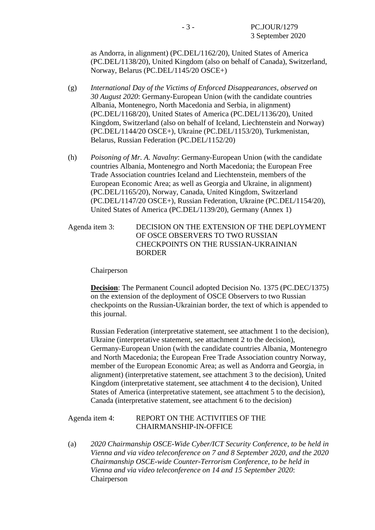as Andorra, in alignment) (PC.DEL/1162/20), United States of America (PC.DEL/1138/20), United Kingdom (also on behalf of Canada), Switzerland, Norway, Belarus (PC.DEL/1145/20 OSCE+)

- (g) *International Day of the Victims of Enforced Disappearances, observed on 30 August 2020*: Germany-European Union (with the candidate countries Albania, Montenegro, North Macedonia and Serbia, in alignment) (PC.DEL/1168/20), United States of America (PC.DEL/1136/20), United Kingdom, Switzerland (also on behalf of Iceland, Liechtenstein and Norway) (PC.DEL/1144/20 OSCE+), Ukraine (PC.DEL/1153/20), Turkmenistan, Belarus, Russian Federation (PC.DEL/1152/20)
- (h) *Poisoning of Mr. A. Navalny*: Germany-European Union (with the candidate countries Albania, Montenegro and North Macedonia; the European Free Trade Association countries Iceland and Liechtenstein, members of the European Economic Area; as well as Georgia and Ukraine, in alignment) (PC.DEL/1165/20), Norway, Canada, United Kingdom, Switzerland (PC.DEL/1147/20 OSCE+), Russian Federation, Ukraine (PC.DEL/1154/20), United States of America (PC.DEL/1139/20), Germany (Annex 1)
- Agenda item 3: DECISION ON THE EXTENSION OF THE DEPLOYMENT OF OSCE OBSERVERS TO TWO RUSSIAN CHECKPOINTS ON THE RUSSIAN-UKRAINIAN **BORDER**

#### Chairperson

**Decision**: The Permanent Council adopted Decision No. 1375 (PC.DEC/1375) on the extension of the deployment of OSCE Observers to two Russian checkpoints on the Russian-Ukrainian border, the text of which is appended to this journal.

Russian Federation (interpretative statement, see attachment 1 to the decision), Ukraine (interpretative statement, see attachment 2 to the decision), Germany-European Union (with the candidate countries Albania, Montenegro and North Macedonia; the European Free Trade Association country Norway, member of the European Economic Area; as well as Andorra and Georgia, in alignment) (interpretative statement, see attachment 3 to the decision), United Kingdom (interpretative statement, see attachment 4 to the decision), United States of America (interpretative statement, see attachment 5 to the decision), Canada (interpretative statement, see attachment 6 to the decision)

#### Agenda item 4: REPORT ON THE ACTIVITIES OF THE CHAIRMANSHIP-IN-OFFICE

(a) *2020 Chairmanship OSCE-Wide Cyber/ICT Security Conference, to be held in Vienna and via video teleconference on 7 and 8 September 2020, and the 2020 Chairmanship OSCE-wide Counter-Terrorism Conference, to be held in Vienna and via video teleconference on 14 and 15 September 2020*: Chairperson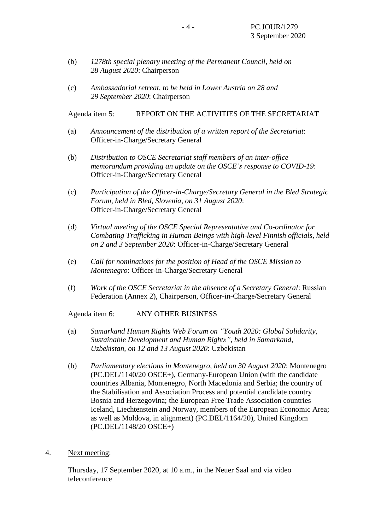- (b) *1278th special plenary meeting of the Permanent Council, held on 28 August 2020*: Chairperson
- (c) *Ambassadorial retreat, to be held in Lower Austria on 28 and 29 September 2020*: Chairperson

Agenda item 5: REPORT ON THE ACTIVITIES OF THE SECRETARIAT

- (a) *Announcement of the distribution of a written report of the Secretariat*: Officer-in-Charge/Secretary General
- (b) *Distribution to OSCE Secretariat staff members of an inter-office memorandum providing an update on the OSCE's response to COVID-19*: Officer-in-Charge/Secretary General
- (c) *Participation of the Officer-in-Charge/Secretary General in the Bled Strategic Forum, held in Bled, Slovenia, on 31 August 2020*: Officer-in-Charge/Secretary General
- (d) *Virtual meeting of the OSCE Special Representative and Co-ordinator for Combating Trafficking in Human Beings with high-level Finnish officials, held on 2 and 3 September 2020*: Officer-in-Charge/Secretary General
- (e) *Call for nominations for the position of Head of the OSCE Mission to Montenegro*: Officer-in-Charge/Secretary General
- (f) *Work of the OSCE Secretariat in the absence of a Secretary General*: Russian Federation (Annex 2), Chairperson, Officer-in-Charge/Secretary General

Agenda item 6: ANY OTHER BUSINESS

- (a) *Samarkand Human Rights Web Forum on "Youth 2020: Global Solidarity, Sustainable Development and Human Rights", held in Samarkand, Uzbekistan, on 12 and 13 August 2020*: Uzbekistan
- (b) *Parliamentary elections in Montenegro, held on 30 August 2020*: Montenegro (PC.DEL/1140/20 OSCE+), Germany-European Union (with the candidate countries Albania, Montenegro, North Macedonia and Serbia; the country of the Stabilisation and Association Process and potential candidate country Bosnia and Herzegovina; the European Free Trade Association countries Iceland, Liechtenstein and Norway, members of the European Economic Area; as well as Moldova, in alignment) (PC.DEL/1164/20), United Kingdom (PC.DEL/1148/20 OSCE+)
- 4. Next meeting:

Thursday, 17 September 2020, at 10 a.m., in the Neuer Saal and via video teleconference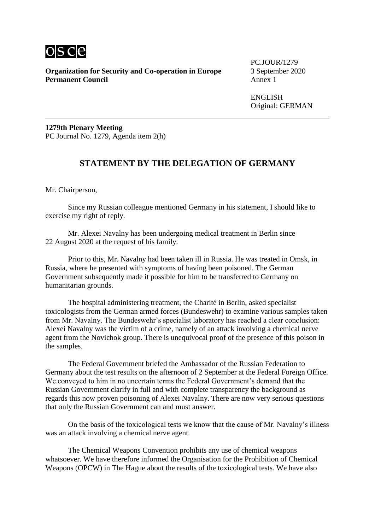

**Organization for Security and Co-operation in Europe** 3 September 2020<br>**Permanent Council** Annex 1 **Permanent Council** 

PC.JOUR/1279

ENGLISH Original: GERMAN

**1279th Plenary Meeting** PC Journal No. 1279, Agenda item 2(h)

## **STATEMENT BY THE DELEGATION OF GERMANY**

Mr. Chairperson,

Since my Russian colleague mentioned Germany in his statement, I should like to exercise my right of reply.

Mr. Alexei Navalny has been undergoing medical treatment in Berlin since 22 August 2020 at the request of his family.

Prior to this, Mr. Navalny had been taken ill in Russia. He was treated in Omsk, in Russia, where he presented with symptoms of having been poisoned. The German Government subsequently made it possible for him to be transferred to Germany on humanitarian grounds.

The hospital administering treatment, the Charité in Berlin, asked specialist toxicologists from the German armed forces (Bundeswehr) to examine various samples taken from Mr. Navalny. The Bundeswehr's specialist laboratory has reached a clear conclusion: Alexei Navalny was the victim of a crime, namely of an attack involving a chemical nerve agent from the Novichok group. There is unequivocal proof of the presence of this poison in the samples.

The Federal Government briefed the Ambassador of the Russian Federation to Germany about the test results on the afternoon of 2 September at the Federal Foreign Office. We conveyed to him in no uncertain terms the Federal Government's demand that the Russian Government clarify in full and with complete transparency the background as regards this now proven poisoning of Alexei Navalny. There are now very serious questions that only the Russian Government can and must answer.

On the basis of the toxicological tests we know that the cause of Mr. Navalny's illness was an attack involving a chemical nerve agent.

The Chemical Weapons Convention prohibits any use of chemical weapons whatsoever. We have therefore informed the Organisation for the Prohibition of Chemical Weapons (OPCW) in The Hague about the results of the toxicological tests. We have also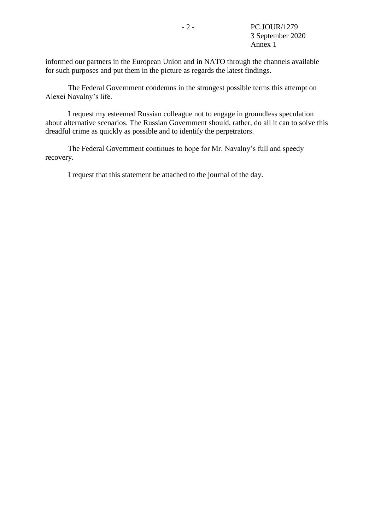informed our partners in the European Union and in NATO through the channels available for such purposes and put them in the picture as regards the latest findings.

The Federal Government condemns in the strongest possible terms this attempt on Alexei Navalny's life.

I request my esteemed Russian colleague not to engage in groundless speculation about alternative scenarios. The Russian Government should, rather, do all it can to solve this dreadful crime as quickly as possible and to identify the perpetrators.

The Federal Government continues to hope for Mr. Navalny's full and speedy recovery.

I request that this statement be attached to the journal of the day.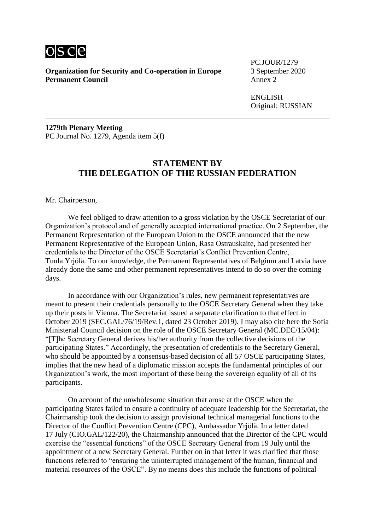

**Organization for Security and Co-operation in Europe** 3 September 2020<br>**Permanent Council** Annex 2 **Permanent Council** 

PC.JOUR/1279

**ENGLISH** Original: RUSSIAN

**1279th Plenary Meeting** PC Journal No. 1279, Agenda item 5(f)

### **STATEMENT BY THE DELEGATION OF THE RUSSIAN FEDERATION**

Mr. Chairperson,

We feel obliged to draw attention to a gross violation by the OSCE Secretariat of our Organization's protocol and of generally accepted international practice. On 2 September, the Permanent Representation of the European Union to the OSCE announced that the new Permanent Representative of the European Union, Rasa Ostrauskaite, had presented her credentials to the Director of the OSCE Secretariat's Conflict Prevention Centre, Tuula Yrjölä. To our knowledge, the Permanent Representatives of Belgium and Latvia have already done the same and other permanent representatives intend to do so over the coming days.

In accordance with our Organization's rules, new permanent representatives are meant to present their credentials personally to the OSCE Secretary General when they take up their posts in Vienna. The Secretariat issued a separate clarification to that effect in October 2019 (SEC.GAL/76/19/Rev.1, dated 23 October 2019). I may also cite here the Sofia Ministerial Council decision on the role of the OSCE Secretary General (MC.DEC/15/04): "[T]he Secretary General derives his/her authority from the collective decisions of the participating States." Accordingly, the presentation of credentials to the Secretary General, who should be appointed by a consensus-based decision of all 57 OSCE participating States, implies that the new head of a diplomatic mission accepts the fundamental principles of our Organization's work, the most important of these being the sovereign equality of all of its participants.

On account of the unwholesome situation that arose at the OSCE when the participating States failed to ensure a continuity of adequate leadership for the Secretariat, the Chairmanship took the decision to assign provisional technical managerial functions to the Director of the Conflict Prevention Centre (CPC), Ambassador Yrjölä. In a letter dated 17 July (CIO.GAL/122/20), the Chairmanship announced that the Director of the CPC would exercise the "essential functions" of the OSCE Secretary General from 19 July until the appointment of a new Secretary General. Further on in that letter it was clarified that those functions referred to "ensuring the uninterrupted management of the human, financial and material resources of the OSCE". By no means does this include the functions of political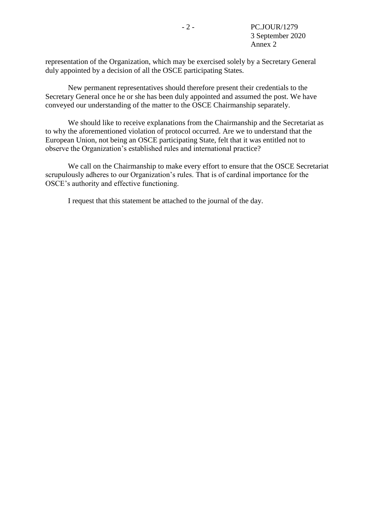representation of the Organization, which may be exercised solely by a Secretary General duly appointed by a decision of all the OSCE participating States.

New permanent representatives should therefore present their credentials to the Secretary General once he or she has been duly appointed and assumed the post. We have conveyed our understanding of the matter to the OSCE Chairmanship separately.

We should like to receive explanations from the Chairmanship and the Secretariat as to why the aforementioned violation of protocol occurred. Are we to understand that the European Union, not being an OSCE participating State, felt that it was entitled not to observe the Organization's established rules and international practice?

We call on the Chairmanship to make every effort to ensure that the OSCE Secretariat scrupulously adheres to our Organization's rules. That is of cardinal importance for the OSCE's authority and effective functioning.

I request that this statement be attached to the journal of the day.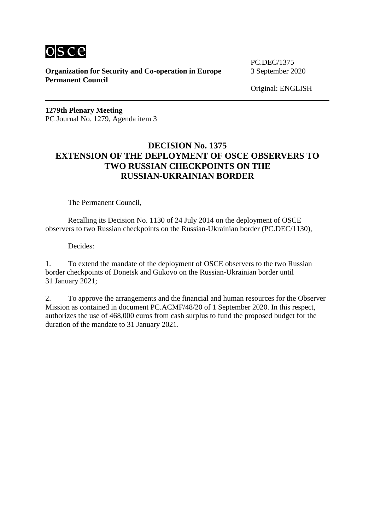

**Organization for Security and Co-operation in Europe** 3 September 2020 **Permanent Council**

PC.DEC/1375

Original: ENGLISH

**1279th Plenary Meeting** PC Journal No. 1279, Agenda item 3

## **DECISION No. 1375 EXTENSION OF THE DEPLOYMENT OF OSCE OBSERVERS TO TWO RUSSIAN CHECKPOINTS ON THE RUSSIAN-UKRAINIAN BORDER**

The Permanent Council,

Recalling its Decision No. 1130 of 24 July 2014 on the deployment of OSCE observers to two Russian checkpoints on the Russian-Ukrainian border (PC.DEC/1130),

Decides:

1. To extend the mandate of the deployment of OSCE observers to the two Russian border checkpoints of Donetsk and Gukovo on the Russian-Ukrainian border until 31 January 2021;

2. To approve the arrangements and the financial and human resources for the Observer Mission as contained in document PC.ACMF/48/20 of 1 September 2020. In this respect, authorizes the use of 468,000 euros from cash surplus to fund the proposed budget for the duration of the mandate to 31 January 2021.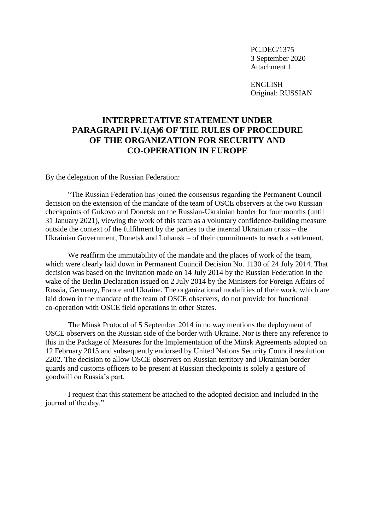ENGLISH Original: RUSSIAN

# **INTERPRETATIVE STATEMENT UNDER PARAGRAPH IV.1(A)6 OF THE RULES OF PROCEDURE OF THE ORGANIZATION FOR SECURITY AND CO-OPERATION IN EUROPE**

By the delegation of the Russian Federation:

"The Russian Federation has joined the consensus regarding the Permanent Council decision on the extension of the mandate of the team of OSCE observers at the two Russian checkpoints of Gukovo and Donetsk on the Russian-Ukrainian border for four months (until 31 January 2021), viewing the work of this team as a voluntary confidence-building measure outside the context of the fulfilment by the parties to the internal Ukrainian crisis – the Ukrainian Government, Donetsk and Luhansk – of their commitments to reach a settlement.

We reaffirm the immutability of the mandate and the places of work of the team, which were clearly laid down in Permanent Council Decision No. 1130 of 24 July 2014. That decision was based on the invitation made on 14 July 2014 by the Russian Federation in the wake of the Berlin Declaration issued on 2 July 2014 by the Ministers for Foreign Affairs of Russia, Germany, France and Ukraine. The organizational modalities of their work, which are laid down in the mandate of the team of OSCE observers, do not provide for functional co-operation with OSCE field operations in other States.

The Minsk Protocol of 5 September 2014 in no way mentions the deployment of OSCE observers on the Russian side of the border with Ukraine. Nor is there any reference to this in the Package of Measures for the Implementation of the Minsk Agreements adopted on 12 February 2015 and subsequently endorsed by United Nations Security Council resolution 2202. The decision to allow OSCE observers on Russian territory and Ukrainian border guards and customs officers to be present at Russian checkpoints is solely a gesture of goodwill on Russia's part.

I request that this statement be attached to the adopted decision and included in the journal of the day."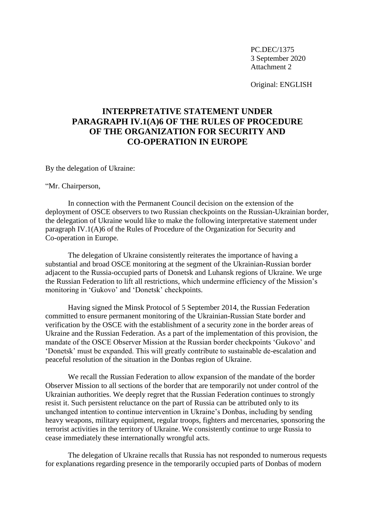Original: ENGLISH

# **INTERPRETATIVE STATEMENT UNDER PARAGRAPH IV.1(A)6 OF THE RULES OF PROCEDURE OF THE ORGANIZATION FOR SECURITY AND CO-OPERATION IN EUROPE**

By the delegation of Ukraine:

"Mr. Chairperson,

In connection with the Permanent Council decision on the extension of the deployment of OSCE observers to two Russian checkpoints on the Russian-Ukrainian border, the delegation of Ukraine would like to make the following interpretative statement under paragraph IV.1(A)6 of the Rules of Procedure of the Organization for Security and Co-operation in Europe.

The delegation of Ukraine consistently reiterates the importance of having a substantial and broad OSCE monitoring at the segment of the Ukrainian-Russian border adjacent to the Russia-occupied parts of Donetsk and Luhansk regions of Ukraine. We urge the Russian Federation to lift all restrictions, which undermine efficiency of the Mission's monitoring in 'Gukovo' and 'Donetsk' checkpoints.

Having signed the Minsk Protocol of 5 September 2014, the Russian Federation committed to ensure permanent monitoring of the Ukrainian-Russian State border and verification by the OSCE with the establishment of a security zone in the border areas of Ukraine and the Russian Federation. As a part of the implementation of this provision, the mandate of the OSCE Observer Mission at the Russian border checkpoints 'Gukovo' and 'Donetsk' must be expanded. This will greatly contribute to sustainable de-escalation and peaceful resolution of the situation in the Donbas region of Ukraine.

We recall the Russian Federation to allow expansion of the mandate of the border Observer Mission to all sections of the border that are temporarily not under control of the Ukrainian authorities. We deeply regret that the Russian Federation continues to strongly resist it. Such persistent reluctance on the part of Russia can be attributed only to its unchanged intention to continue intervention in Ukraine's Donbas, including by sending heavy weapons, military equipment, regular troops, fighters and mercenaries, sponsoring the terrorist activities in the territory of Ukraine. We consistently continue to urge Russia to cease immediately these internationally wrongful acts.

The delegation of Ukraine recalls that Russia has not responded to numerous requests for explanations regarding presence in the temporarily occupied parts of Donbas of modern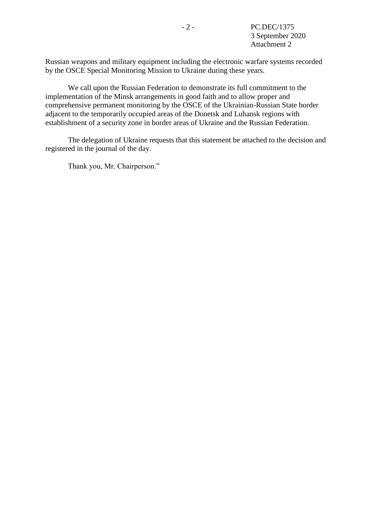Russian weapons and military equipment including the electronic warfare systems recorded by the OSCE Special Monitoring Mission to Ukraine during these years.

We call upon the Russian Federation to demonstrate its full commitment to the implementation of the Minsk arrangements in good faith and to allow proper and comprehensive permanent monitoring by the OSCE of the Ukrainian-Russian State border adjacent to the temporarily occupied areas of the Donetsk and Luhansk regions with establishment of a security zone in border areas of Ukraine and the Russian Federation.

The delegation of Ukraine requests that this statement be attached to the decision and registered in the journal of the day.

Thank you, Mr. Chairperson."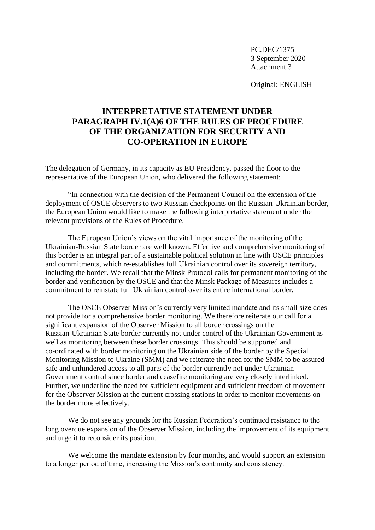Original: ENGLISH

# **INTERPRETATIVE STATEMENT UNDER PARAGRAPH IV.1(A)6 OF THE RULES OF PROCEDURE OF THE ORGANIZATION FOR SECURITY AND CO-OPERATION IN EUROPE**

The delegation of Germany, in its capacity as EU Presidency, passed the floor to the representative of the European Union, who delivered the following statement:

"In connection with the decision of the Permanent Council on the extension of the deployment of OSCE observers to two Russian checkpoints on the Russian-Ukrainian border, the European Union would like to make the following interpretative statement under the relevant provisions of the Rules of Procedure.

The European Union's views on the vital importance of the monitoring of the Ukrainian-Russian State border are well known. Effective and comprehensive monitoring of this border is an integral part of a sustainable political solution in line with OSCE principles and commitments, which re-establishes full Ukrainian control over its sovereign territory, including the border. We recall that the Minsk Protocol calls for permanent monitoring of the border and verification by the OSCE and that the Minsk Package of Measures includes a commitment to reinstate full Ukrainian control over its entire international border.

The OSCE Observer Mission's currently very limited mandate and its small size does not provide for a comprehensive border monitoring. We therefore reiterate our call for a significant expansion of the Observer Mission to all border crossings on the Russian-Ukrainian State border currently not under control of the Ukrainian Government as well as monitoring between these border crossings. This should be supported and co-ordinated with border monitoring on the Ukrainian side of the border by the Special Monitoring Mission to Ukraine (SMM) and we reiterate the need for the SMM to be assured safe and unhindered access to all parts of the border currently not under Ukrainian Government control since border and ceasefire monitoring are very closely interlinked. Further, we underline the need for sufficient equipment and sufficient freedom of movement for the Observer Mission at the current crossing stations in order to monitor movements on the border more effectively.

We do not see any grounds for the Russian Federation's continued resistance to the long overdue expansion of the Observer Mission, including the improvement of its equipment and urge it to reconsider its position.

We welcome the mandate extension by four months, and would support an extension to a longer period of time, increasing the Mission's continuity and consistency.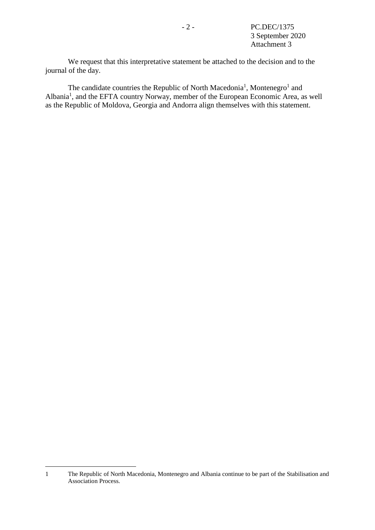We request that this interpretative statement be attached to the decision and to the journal of the day.

<span id="page-13-0"></span>The candidate c[o](#page-13-0)untries the Republic of North Macedonia<sup>1</sup>, Montenegro<sup>1</sup> and Albania<sup>[1](#page-13-0)</sup>, and the EFTA country Norway, member of the European Economic Area, as well as the Republic of Moldova, Georgia and Andorra align themselves with this statement.

1

<sup>1</sup> The Republic of North Macedonia, Montenegro and Albania continue to be part of the Stabilisation and Association Process.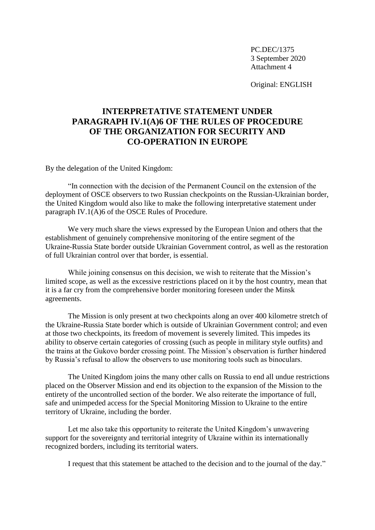Original: ENGLISH

# **INTERPRETATIVE STATEMENT UNDER PARAGRAPH IV.1(A)6 OF THE RULES OF PROCEDURE OF THE ORGANIZATION FOR SECURITY AND CO-OPERATION IN EUROPE**

By the delegation of the United Kingdom:

"In connection with the decision of the Permanent Council on the extension of the deployment of OSCE observers to two Russian checkpoints on the Russian-Ukrainian border, the United Kingdom would also like to make the following interpretative statement under paragraph IV.1(A)6 of the OSCE Rules of Procedure.

We very much share the views expressed by the European Union and others that the establishment of genuinely comprehensive monitoring of the entire segment of the Ukraine-Russia State border outside Ukrainian Government control, as well as the restoration of full Ukrainian control over that border, is essential.

While joining consensus on this decision, we wish to reiterate that the Mission's limited scope, as well as the excessive restrictions placed on it by the host country, mean that it is a far cry from the comprehensive border monitoring foreseen under the Minsk agreements.

The Mission is only present at two checkpoints along an over 400 kilometre stretch of the Ukraine-Russia State border which is outside of Ukrainian Government control; and even at those two checkpoints, its freedom of movement is severely limited. This impedes its ability to observe certain categories of crossing (such as people in military style outfits) and the trains at the Gukovo border crossing point. The Mission's observation is further hindered by Russia's refusal to allow the observers to use monitoring tools such as binoculars.

The United Kingdom joins the many other calls on Russia to end all undue restrictions placed on the Observer Mission and end its objection to the expansion of the Mission to the entirety of the uncontrolled section of the border. We also reiterate the importance of full, safe and unimpeded access for the Special Monitoring Mission to Ukraine to the entire territory of Ukraine, including the border.

Let me also take this opportunity to reiterate the United Kingdom's unwavering support for the sovereignty and territorial integrity of Ukraine within its internationally recognized borders, including its territorial waters.

I request that this statement be attached to the decision and to the journal of the day."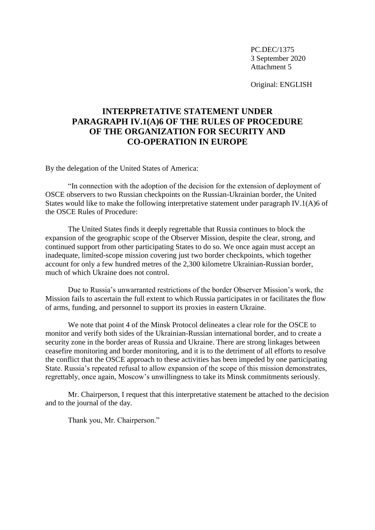Original: ENGLISH

# **INTERPRETATIVE STATEMENT UNDER PARAGRAPH IV.1(A)6 OF THE RULES OF PROCEDURE OF THE ORGANIZATION FOR SECURITY AND CO-OPERATION IN EUROPE**

By the delegation of the United States of America:

"In connection with the adoption of the decision for the extension of deployment of OSCE observers to two Russian checkpoints on the Russian-Ukrainian border, the United States would like to make the following interpretative statement under paragraph IV.1(A)6 of the OSCE Rules of Procedure:

The United States finds it deeply regrettable that Russia continues to block the expansion of the geographic scope of the Observer Mission, despite the clear, strong, and continued support from other participating States to do so. We once again must accept an inadequate, limited-scope mission covering just two border checkpoints, which together account for only a few hundred metres of the 2,300 kilometre Ukrainian-Russian border, much of which Ukraine does not control.

Due to Russia's unwarranted restrictions of the border Observer Mission's work, the Mission fails to ascertain the full extent to which Russia participates in or facilitates the flow of arms, funding, and personnel to support its proxies in eastern Ukraine.

We note that point 4 of the Minsk Protocol delineates a clear role for the OSCE to monitor and verify both sides of the Ukrainian-Russian international border, and to create a security zone in the border areas of Russia and Ukraine. There are strong linkages between ceasefire monitoring and border monitoring, and it is to the detriment of all efforts to resolve the conflict that the OSCE approach to these activities has been impeded by one participating State. Russia's repeated refusal to allow expansion of the scope of this mission demonstrates, regrettably, once again, Moscow's unwillingness to take its Minsk commitments seriously.

Mr. Chairperson, I request that this interpretative statement be attached to the decision and to the journal of the day.

Thank you, Mr. Chairperson."